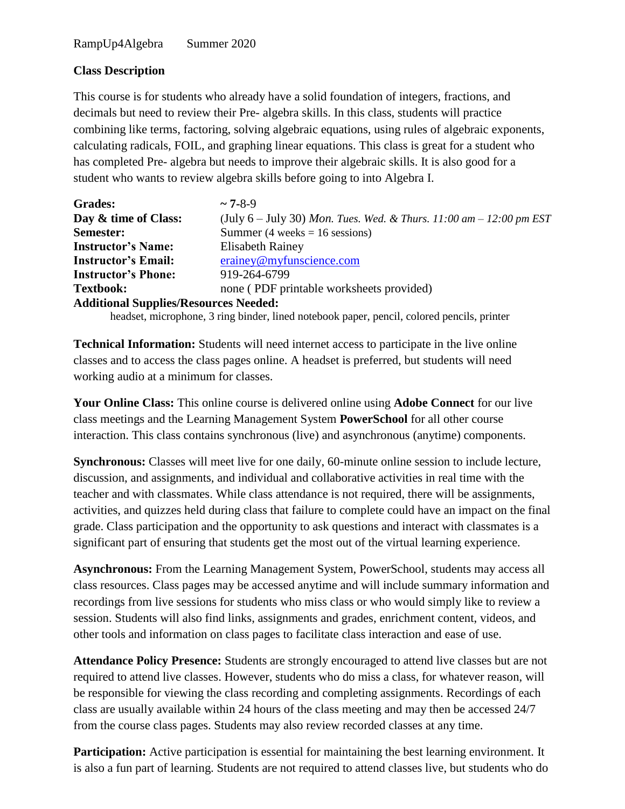## **Class Description**

This course is for students who already have a solid foundation of integers, fractions, and decimals but need to review their Pre- algebra skills. In this class, students will practice combining like terms, factoring, solving algebraic equations, using rules of algebraic exponents, calculating radicals, FOIL, and graphing linear equations. This class is great for a student who has completed Pre- algebra but needs to improve their algebraic skills. It is also good for a student who wants to review algebra skills before going to into Algebra I.

| <b>Grades:</b>                               | $\sim$ 7-8-9                                                                               |  |
|----------------------------------------------|--------------------------------------------------------------------------------------------|--|
| Day & time of Class:                         | (July 6 – July 30) Mon. Tues. Wed. & Thurs. 11:00 am – 12:00 pm EST                        |  |
| Semester:                                    | Summer (4 weeks = $16$ sessions)                                                           |  |
| <b>Instructor's Name:</b>                    | <b>Elisabeth Rainey</b>                                                                    |  |
| <b>Instructor's Email:</b>                   | erainey@myfunscience.com                                                                   |  |
| <b>Instructor's Phone:</b>                   | 919-264-6799                                                                               |  |
| <b>Textbook:</b>                             | none (PDF printable worksheets provided)                                                   |  |
| <b>Additional Supplies/Resources Needed:</b> |                                                                                            |  |
|                                              | headset, microphone, 3 ring binder, lined notebook paper, pencil, colored pencils, printer |  |

**Technical Information:** Students will need internet access to participate in the live online classes and to access the class pages online. A headset is preferred, but students will need working audio at a minimum for classes.

**Your Online Class:** This online course is delivered online using **Adobe Connect** for our live class meetings and the Learning Management System **PowerSchool** for all other course interaction. This class contains synchronous (live) and asynchronous (anytime) components.

**Synchronous:** Classes will meet live for one daily, 60-minute online session to include lecture, discussion, and assignments, and individual and collaborative activities in real time with the teacher and with classmates. While class attendance is not required, there will be assignments, activities, and quizzes held during class that failure to complete could have an impact on the final grade. Class participation and the opportunity to ask questions and interact with classmates is a significant part of ensuring that students get the most out of the virtual learning experience.

**Asynchronous:** From the Learning Management System, PowerSchool, students may access all class resources. Class pages may be accessed anytime and will include summary information and recordings from live sessions for students who miss class or who would simply like to review a session. Students will also find links, assignments and grades, enrichment content, videos, and other tools and information on class pages to facilitate class interaction and ease of use.

**Attendance Policy Presence:** Students are strongly encouraged to attend live classes but are not required to attend live classes. However, students who do miss a class, for whatever reason, will be responsible for viewing the class recording and completing assignments. Recordings of each class are usually available within 24 hours of the class meeting and may then be accessed 24/7 from the course class pages. Students may also review recorded classes at any time.

**Participation:** Active participation is essential for maintaining the best learning environment. It is also a fun part of learning. Students are not required to attend classes live, but students who do